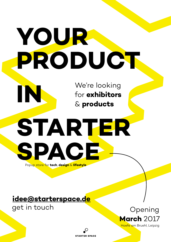# **YOUR PRODUCT**

We're looking for **exhibitors** & **products**

# **STARTER SPACE** Popup store for **tech**, **design** & **lifestyle**

**STARTER SPACE** 

## **idee@starterspace.de**

get in touch

**IN**

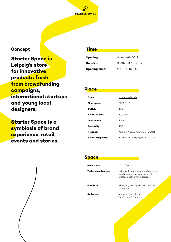**STARTER SPACE** 

#### **Concept**

**Starter Space is Leipzig's store for innovative products fresh from crowdfunding campaigns, international startups and young local designers.**

**Starter Space is a symbiosis of brand experience, retail, events and stories.**

#### **Time**

| <b>Opening:</b>      | March 4th 2017    |
|----------------------|-------------------|
| <b>Duration:</b>     | $0304 - 09302017$ |
| <b>Opening Time:</b> | Mo - Sa, 10-20    |

#### **Place**

| Store:                    | Hoefe am Bruehl                |
|---------------------------|--------------------------------|
| Floor space:              | 53.350 $m2$                    |
| Outlets:                  | 130                            |
| Visitors / year:          | 13.9 Mio.                      |
| Greater area:             | 1,2 Mio.                       |
| Centrality:               | 105.2                          |
| <b>Revenue:</b>           | +10% FY 2015; +10,4% YTD 2016  |
| <b>Visitor frequency:</b> | +12,5% FY 2015; +6,5% YTD 2016 |

#### **Space**

| Floor space:          | $207 \text{ m}^2$ total                                                                                  |
|-----------------------|----------------------------------------------------------------------------------------------------------|
| Techn. specification: | video wall, multi-room audio system,<br>touchscreens, wireless internet,<br>professional lighting design |
| <b>Furniture</b>      | white, organically shaped and LED<br>illuminated                                                         |
| Ambience <sup>.</sup> | modern, light, clean $-$<br>"white cube" Feeling                                                         |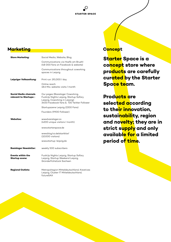

#### **Marketing**

| <b>Store Marketing:</b>                         | Social Media, Website, Blog                                                                                                                               |
|-------------------------------------------------|-----------------------------------------------------------------------------------------------------------------------------------------------------------|
|                                                 | Communications via Hoefe am Bruehl<br>(48 000 fans on Facebook & website)                                                                                 |
|                                                 | Communications throughout coworking<br>spaces in Leipzig                                                                                                  |
| Leipziger Volkszeitung:                         | Print run: 191.000 / day                                                                                                                                  |
|                                                 | Online reach:<br>18.6 Mio, website visits / month                                                                                                         |
| Social Media channels<br>relevant to Startups:: | Our pages (Basislager Coworking,<br>FuckUp Nights Leipzig, Startup Safary<br>Leipzig, Coworking in Leipzig):<br>3400 Facebook fans & 720 Twitter Follower |
|                                                 | Startupszene Leipzig (2200 Fans)                                                                                                                          |
|                                                 | Founders (9900 Follower)                                                                                                                                  |
| <b>Websites:</b>                                | www.basislager.co<br>(4200 unique visitors / month)                                                                                                       |
|                                                 | www.starterspace.de                                                                                                                                       |
|                                                 | www.blog.lvz.de/startklar/<br>(10.000 visitors)                                                                                                           |
|                                                 | www.startup-leipzig.de                                                                                                                                    |
| <b>Basislager Newsletter:</b>                   | weekly 500 subscribers                                                                                                                                    |
| Events within the<br><b>Startup scene:</b>      | FuckUp Nights Leipzig, Startup Safary<br>Leipzig, Startup Weekend Leipzig,<br>Gründerfrühstück Sachsen                                                    |
| <b>Regional Outlets:</b>                        | Metropolregion Mitteldeutschland, Kreatives<br>Leipzig, Cluster IT Mitteldeutschland,<br>futureSAX                                                        |

#### **Concept**

**Starter Space is a concept store where products are carefully curated by the Starter Space team.**

**Products are selected according to their innovation, sustainability, region and novelty; they are in strict supply and only available for a limited period of time.**